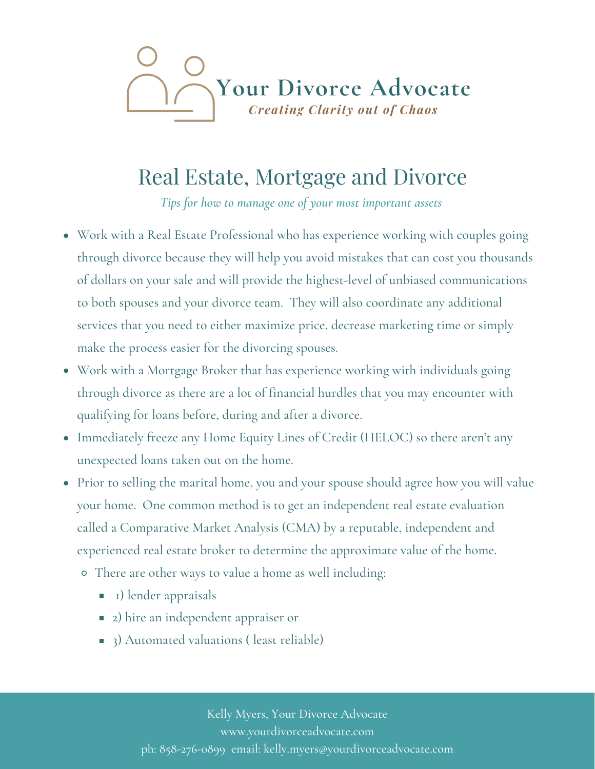

## Real Estate, Mortgage and Divorce

Tips for how to manage one of your most important assets

- Work with a Real Estate Professional who has experience working with couples going through divorce because they will help you avoid mistakes that can cost you thousands of dollars on your sale and will provide the highest-level of unbiased communications to both spouses and your divorce team. They will also coordinate any additional services that you need to either maximize price, decrease marketing time or simply make the process easier for the divorcing spouses.
- Work with a Mortgage Broker that has experience working with individuals going through divorce as there are a lot of financial hurdles that you may encounter with qualifying for loans before, during and after a divorce.
- Immediately freeze any Home Equity Lines of Credit (HELOC) so there aren't any unexpected loans taken out on the home.
- Prior to selling the marital home, you and your spouse should agree how you will value your home. One common method is to get an independent real estate evaluation called a Comparative Market Analysis (CMA) by a reputable, independent and experienced real estate broker to determine the approximate value of the home.
	- · There are other ways to value a home as well including:
		- **Dender appraisals**
		- 2) hire an independent appraiser or
		- 3) Automated valuations (least reliable)

Kelly Myers, Your Divorce Advocate www.yourdivorceadvocate.com ph: 858-276-0899 email: kelly.myers@yourdivorceadvocate.com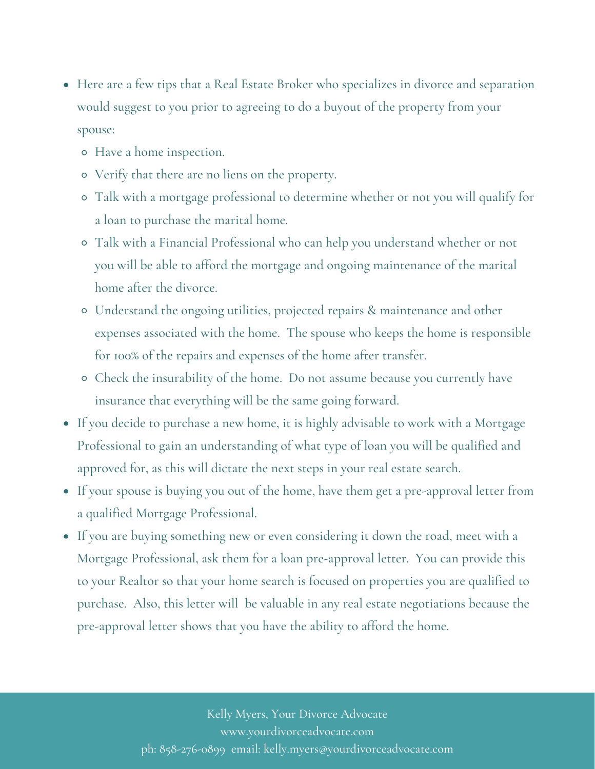- Here are a few tips that a Real Estate Broker who specializes in divorce and separation would suggest to you prior to agreeing to do a buyout of the property from your spouse:
	- Have a home inspection.
	- Verify that there are no liens on the property.
	- Talk with a mortgage professional to determine whether or not you will qualify for a loan to purchase the marital home.
	- Talk with a Financial Professional who can help you understand whether or not you will be able to afford the mortgage and ongoing maintenance of the marital home after the divorce.
	- Understand the ongoing utilities, projected repairs maintenance and other expenses associated with the home. The spouse who keeps the home is responsible for 100% of the repairs and expenses of the home after transfer.
	- Check the insurability of the home. Do not assume because you currently have insurance that everything will be the same going forward.
- If you decide to purchase a new home, it is highly advisable to work with a Mortgage Professional to gain an understanding of what type of loan you will be qualified and approved for, as this will dictate the next steps in your real estate search.
- If your spouse is buying you out of the home, have them get a pre-approval letter from a qualified Mortgage Professional.
- If you are buying something new or even considering it down the road, meet with a Mortgage Professional, ask them for a loan preڋapproval letter. You can provide this to your Realtor so that your home search is focused on properties you are qualified to purchase. Also, this letter will be valuable in any real estate negotiations because the pre-approval letter shows that you have the ability to afford the home.

Kelly Myers, Your Divorce Advocate www.yourdivorceadvocate.com ph: 858-276-0899 email: kelly.myers@yourdivorceadvocate.com